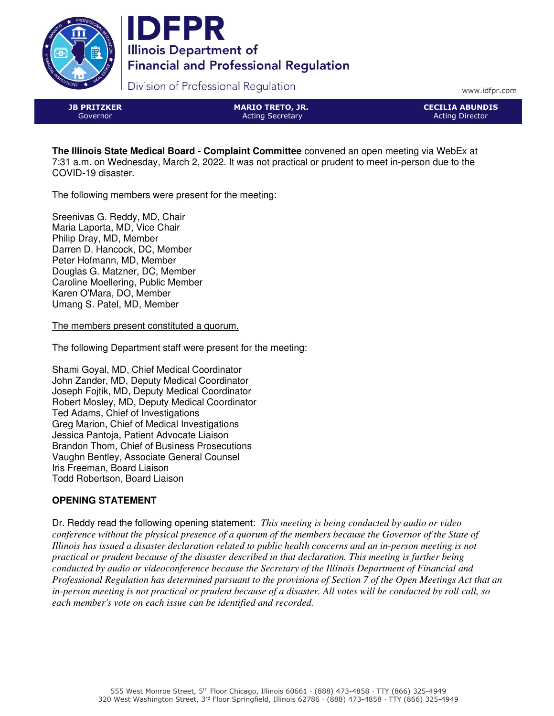



Division of Professional Regulation

www.idfpr.com

JB PRITZKER Governor

MARIO TRETO, JR. Acting Secretary

CECILIA ABUNDIS Acting Director

**The Illinois State Medical Board - Complaint Committee** convened an open meeting via WebEx at 7:31 a.m. on Wednesday, March 2, 2022. It was not practical or prudent to meet in-person due to the COVID-19 disaster.

The following members were present for the meeting:

Sreenivas G. Reddy, MD, Chair Maria Laporta, MD, Vice Chair Philip Dray, MD, Member Darren D. Hancock, DC, Member Peter Hofmann, MD, Member Douglas G. Matzner, DC, Member Caroline Moellering, Public Member Karen O'Mara, DO, Member Umang S. Patel, MD, Member

The members present constituted a quorum.

The following Department staff were present for the meeting:

Shami Goyal, MD, Chief Medical Coordinator John Zander, MD, Deputy Medical Coordinator Joseph Fojtik, MD, Deputy Medical Coordinator Robert Mosley, MD, Deputy Medical Coordinator Ted Adams, Chief of Investigations Greg Marion, Chief of Medical Investigations Jessica Pantoja, Patient Advocate Liaison Brandon Thom, Chief of Business Prosecutions Vaughn Bentley, Associate General Counsel Iris Freeman, Board Liaison Todd Robertson, Board Liaison

# **OPENING STATEMENT**

Dr. Reddy read the following opening statement: *This meeting is being conducted by audio or video conference without the physical presence of a quorum of the members because the Governor of the State of Illinois has issued a disaster declaration related to public health concerns and an in-person meeting is not practical or prudent because of the disaster described in that declaration. This meeting is further being conducted by audio or videoconference because the Secretary of the Illinois Department of Financial and Professional Regulation has determined pursuant to the provisions of Section 7 of the Open Meetings Act that an in-person meeting is not practical or prudent because of a disaster. All votes will be conducted by roll call, so each member's vote on each issue can be identified and recorded.*